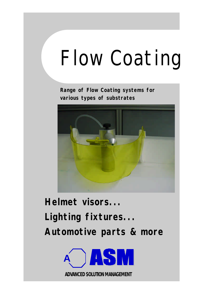# Flow Coating

**Range of Flow Coating systems for various types of substrates**



**Helmet visors... Lighting fixtures... Automotive parts & more**

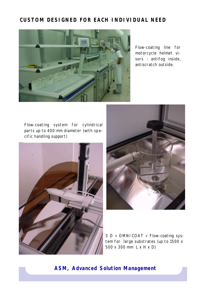#### **CUSTOM DESIGNED FOR EACH INDIVIDUAL NEED**



Flow-coating line for motorcycle helmet visors : antifog inside, antiscratch outside.

Flow-coating system for cylindrical parts up to 400 mm diameter (with specific handling support)





3 D « OMNICOAT » Flow-coating system for large substrates (up to 1500 x 500 x 300 mm L x H x D)

 **ASM, Advanced Solution Management**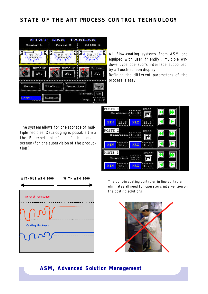### **STATE OF THE ART PROCESS CONTROL TECHNOLOGY**



All Flow-coating systems from ASM are equiped with user friendly , multiple windows type operator's interface supported by a Touch-screen display.

Refining the different parameters of the process is easy.

The system allows for the storage of multiple recipies. Datalodging is possible thru the Ethernet interface of the touchscreen (for the supervision of the production )

| POSTE<br>$F$ ceiticn; 12.3;                     | Buse        |  |
|-------------------------------------------------|-------------|--|
| MIN<br>12.3                                     | MAX<br>12.3 |  |
| POSTE<br>$\overline{2}$<br>$F$ caiticn $ 12.3 $ | Buse        |  |
| MIN<br>12.3                                     | MAX<br>12.3 |  |
| POSTE 3<br>Festtien $ 12.3 $                    | Buse        |  |
| MIN<br>12.3                                     | MAX<br>12.3 |  |

**WITHOUT ASM 2000 WITH ASM 2000**



The built-in coating controler in line controler eliminates all need for operator's intervention on the coating solutions



#### **ASM, Advanced Solution Management**